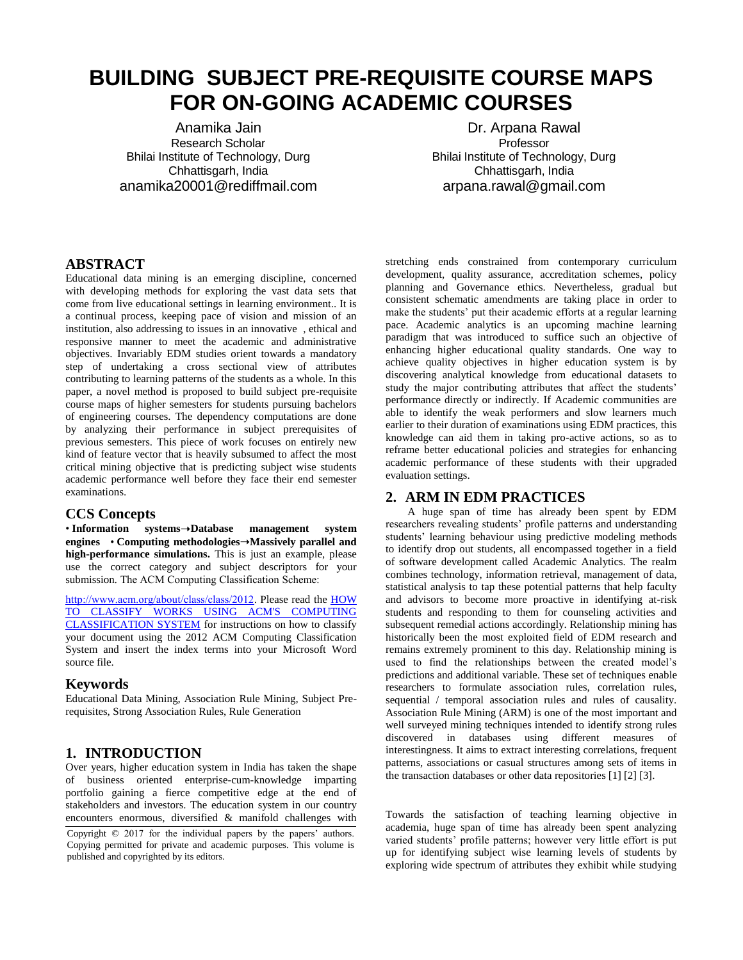# **BUILDING SUBJECT PRE-REQUISITE COURSE MAPS FOR ON-GOING ACADEMIC COURSES**

Anamika Jain Research Scholar Bhilai Institute of Technology, Durg Chhattisgarh, India anamika20001@rediffmail.com

Dr. Arpana Rawal Professor Bhilai Institute of Technology, Durg Chhattisgarh, India arpana.rawal@gmail.com

#### **ABSTRACT**

Educational data mining is an emerging discipline, concerned with developing methods for exploring the vast data sets that come from live educational settings in learning environment.. It is a continual process, keeping pace of vision and mission of an institution, also addressing to issues in an innovative , ethical and responsive manner to meet the academic and administrative objectives. Invariably EDM studies orient towards a mandatory step of undertaking a cross sectional view of attributes contributing to learning patterns of the students as a whole. In this paper, a novel method is proposed to build subject pre-requisite course maps of higher semesters for students pursuing bachelors of engineering courses. The dependency computations are done by analyzing their performance in subject prerequisites of previous semesters. This piece of work focuses on entirely new kind of feature vector that is heavily subsumed to affect the most critical mining objective that is predicting subject wise students academic performance well before they face their end semester examinations.

#### **CCS Concepts**

• **Information systems**➝**Database management system engines** • **Computing methodologies**➝**Massively parallel and high-performance simulations.** This is just an example, please use the correct category and subject descriptors for your submission*.* The ACM Computing Classification Scheme:

[http://www.acm.org/about/class/class/2012.](http://www.acm.org/about/class/class/2012) Please read the [HOW](http://www.acm.org/publications/article-templates/CCS-HOWTO-v6-12Jan2015.docx)  [TO CLASSIFY WORKS USING ACM'S COMPUTING](http://www.acm.org/publications/article-templates/CCS-HOWTO-v6-12Jan2015.docx)  [CLASSIFICATION SYSTEM](http://www.acm.org/publications/article-templates/CCS-HOWTO-v6-12Jan2015.docx) for instructions on how to classify your document using the 2012 ACM Computing Classification System and insert the index terms into your Microsoft Word source file.

#### **Keywords**

Educational Data Mining, Association Rule Mining, Subject Prerequisites, Strong Association Rules, Rule Generation

## **1. INTRODUCTION**

Over years, higher education system in India has taken the shape of business oriented enterprise-cum-knowledge imparting portfolio gaining a fierce competitive edge at the end of stakeholders and investors. The education system in our country encounters enormous, diversified & manifold challenges with

Copyright © 2017 for the individual papers by the papers' authors. Copying permitted for private and academic purposes. This volume is published and copyrighted by its editors.

stretching ends constrained from contemporary curriculum development, quality assurance, accreditation schemes, policy planning and Governance ethics. Nevertheless, gradual but consistent schematic amendments are taking place in order to make the students' put their academic efforts at a regular learning pace. Academic analytics is an upcoming machine learning paradigm that was introduced to suffice such an objective of enhancing higher educational quality standards. One way to achieve quality objectives in higher education system is by discovering analytical knowledge from educational datasets to study the major contributing attributes that affect the students' performance directly or indirectly. If Academic communities are able to identify the weak performers and slow learners much earlier to their duration of examinations using EDM practices, this knowledge can aid them in taking pro-active actions, so as to reframe better educational policies and strategies for enhancing academic performance of these students with their upgraded evaluation settings.

#### **2. ARM IN EDM PRACTICES**

A huge span of time has already been spent by EDM researchers revealing students' profile patterns and understanding students' learning behaviour using predictive modeling methods to identify drop out students, all encompassed together in a field of software development called Academic Analytics. The realm combines technology, information retrieval, management of data, statistical analysis to tap these potential patterns that help faculty and advisors to become more proactive in identifying at-risk students and responding to them for counseling activities and subsequent remedial actions accordingly. Relationship mining has historically been the most exploited field of EDM research and remains extremely prominent to this day. Relationship mining is used to find the relationships between the created model's predictions and additional variable. These set of techniques enable researchers to formulate association rules, correlation rules, sequential / temporal association rules and rules of causality. Association Rule Mining (ARM) is one of the most important and well surveyed mining techniques intended to identify strong rules discovered in databases using different measures of interestingness. It aims to extract interesting correlations, frequent patterns, associations or casual structures among sets of items in the transaction databases or other data repositories [1] [2] [3].

Towards the satisfaction of teaching learning objective in academia, huge span of time has already been spent analyzing varied students' profile patterns; however very little effort is put up for identifying subject wise learning levels of students by exploring wide spectrum of attributes they exhibit while studying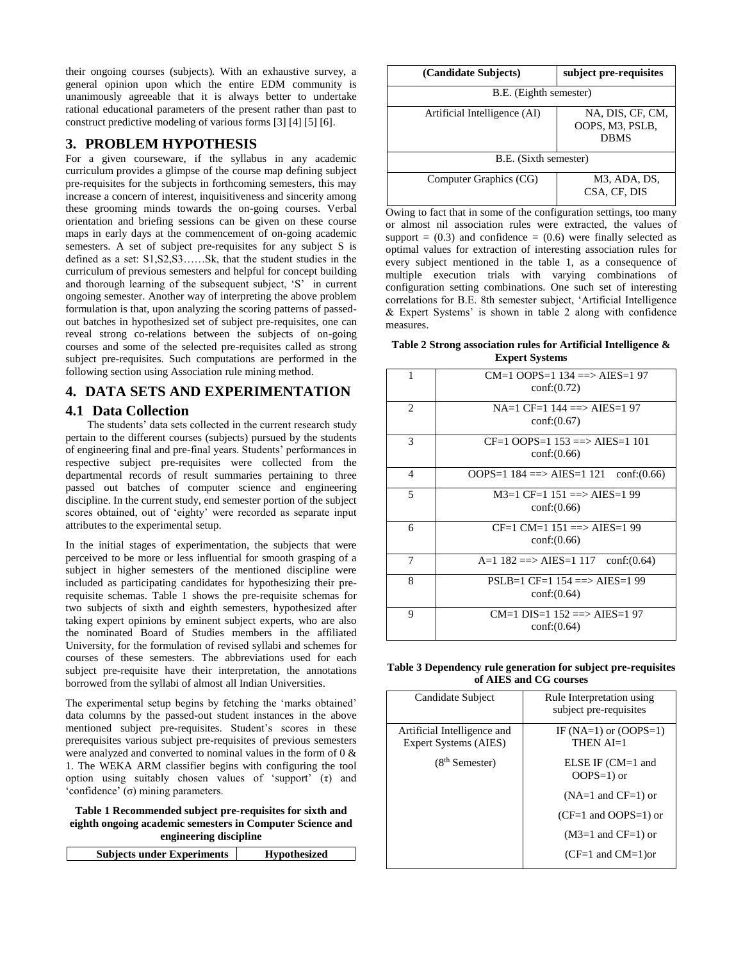their ongoing courses (subjects). With an exhaustive survey, a general opinion upon which the entire EDM community is unanimously agreeable that it is always better to undertake rational educational parameters of the present rather than past to construct predictive modeling of various forms [3] [4] [5] [6].

## **3. PROBLEM HYPOTHESIS**

For a given courseware, if the syllabus in any academic curriculum provides a glimpse of the course map defining subject pre-requisites for the subjects in forthcoming semesters, this may increase a concern of interest, inquisitiveness and sincerity among these grooming minds towards the on-going courses. Verbal orientation and briefing sessions can be given on these course maps in early days at the commencement of on-going academic semesters. A set of subject pre-requisites for any subject S is defined as a set: S1,S2,S3……Sk, that the student studies in the curriculum of previous semesters and helpful for concept building and thorough learning of the subsequent subject, 'S' in current ongoing semester. Another way of interpreting the above problem formulation is that, upon analyzing the scoring patterns of passedout batches in hypothesized set of subject pre-requisites, one can reveal strong co-relations between the subjects of on-going courses and some of the selected pre-requisites called as strong subject pre-requisites. Such computations are performed in the following section using Association rule mining method.

## **4. DATA SETS AND EXPERIMENTATION**

## **4.1 Data Collection**

The students' data sets collected in the current research study pertain to the different courses (subjects) pursued by the students of engineering final and pre-final years. Students' performances in respective subject pre-requisites were collected from the departmental records of result summaries pertaining to three passed out batches of computer science and engineering discipline. In the current study, end semester portion of the subject scores obtained, out of 'eighty' were recorded as separate input attributes to the experimental setup.

In the initial stages of experimentation, the subjects that were perceived to be more or less influential for smooth grasping of a subject in higher semesters of the mentioned discipline were included as participating candidates for hypothesizing their prerequisite schemas. Table 1 shows the pre-requisite schemas for two subjects of sixth and eighth semesters, hypothesized after taking expert opinions by eminent subject experts, who are also the nominated Board of Studies members in the affiliated University, for the formulation of revised syllabi and schemes for courses of these semesters. The abbreviations used for each subject pre-requisite have their interpretation, the annotations borrowed from the syllabi of almost all Indian Universities.

The experimental setup begins by fetching the 'marks obtained' data columns by the passed-out student instances in the above mentioned subject pre-requisites. Student's scores in these prerequisites various subject pre-requisites of previous semesters were analyzed and converted to nominal values in the form of 0 & 1. The WEKA ARM classifier begins with configuring the tool option using suitably chosen values of 'support' (τ) and 'confidence' (σ) mining parameters.

**Table 1 Recommended subject pre-requisites for sixth and eighth ongoing academic semesters in Computer Science and engineering discipline**

| <b>Subjects under Experiments</b><br><b>Hypothesized</b> |
|----------------------------------------------------------|
|----------------------------------------------------------|

| (Candidate Subjects)         | subject pre-requisites                               |  |
|------------------------------|------------------------------------------------------|--|
| B.E. (Eighth semester)       |                                                      |  |
| Artificial Intelligence (AI) | NA, DIS, CF, CM,<br>OOPS, M3, PSLB,<br><b>DBMS</b>   |  |
| B.E. (Sixth semester)        |                                                      |  |
| Computer Graphics (CG)       | M <sub>3</sub> , ADA, D <sub>S</sub><br>CSA, CF, DIS |  |

Owing to fact that in some of the configuration settings, too many or almost nil association rules were extracted, the values of support =  $(0.3)$  and confidence =  $(0.6)$  were finally selected as optimal values for extraction of interesting association rules for every subject mentioned in the table 1, as a consequence of multiple execution trials with varying combinations of configuration setting combinations. One such set of interesting correlations for B.E. 8th semester subject, 'Artificial Intelligence & Expert Systems' is shown in table 2 along with confidence measures.

#### **Table 2 Strong association rules for Artificial Intelligence & Expert Systems**

| 1 | $CM=1$ OOPS=1 134 ==> AIES=1 97<br>conf:(0.72)    |
|---|---------------------------------------------------|
| 2 | $NA=1$ CF=1 144 ==> AIES=1 97<br>conf:(0.67)      |
| 3 | $CF=1$ OOPS=1 153 ==> AIES=1 101<br>conf:(0.66)   |
| 4 | OOPS=1 $184 ==$ AIES=1 $121$ conf:(0.66)          |
| 5 | $M3=1$ CF=1 151 ==> AIES=1 99<br>conf:(0.66)      |
| 6 | $CF=1$ CM=1 151 = $\geq$ AIES=1 99<br>conf:(0.66) |
| 7 | A=1 $182 \implies AIES = 117$ conf:(0.64)         |
| 8 | $PSLB=1$ CF=1 154 ==> AIES=1 99<br>conf:(0.64)    |
| 9 | $CM=1$ DIS=1 152 ==> AIES=1 97<br>conf:(0.64)     |

**Table 3 Dependency rule generation for subject pre-requisites of AIES and CG courses**

| Candidate Subject           | Rule Interpretation using |
|-----------------------------|---------------------------|
|                             | subject pre-requisites    |
| Artificial Intelligence and | IF $(NA=1)$ or $(OOPS=1)$ |
| Expert Systems (AIES)       | THEN $AI=1$               |
| $(8th$ Semester)            | $ELSE IF (CM=1 and$       |
|                             | $OOPS=1$ ) or             |
|                             | $(NA=1$ and $CF=1)$ or    |
|                             | $(CF=1$ and OOPS=1) or    |
|                             | $(M3=1$ and $CF=1$ ) or   |
|                             | $(CF=1$ and $CM=1$ ) or   |
|                             |                           |